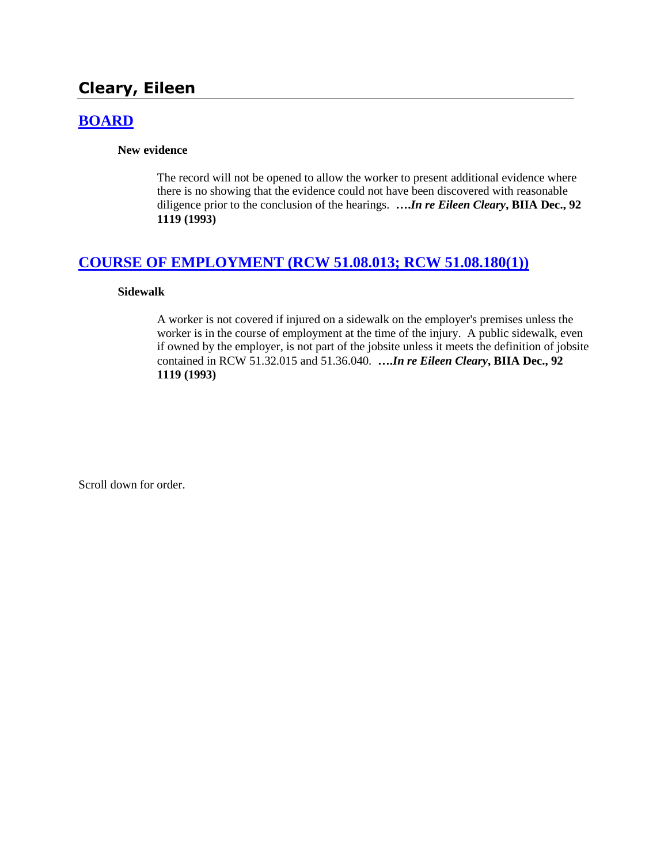# **Cleary, Eileen**

## **[BOARD](http://www.biia.wa.gov/SDSubjectIndex.html#BOARD)**

**New evidence**

The record will not be opened to allow the worker to present additional evidence where there is no showing that the evidence could not have been discovered with reasonable diligence prior to the conclusion of the hearings. **….***In re Eileen Cleary***, BIIA Dec., 92 1119 (1993)**

## **[COURSE OF EMPLOYMENT \(RCW 51.08.013; RCW 51.08.180\(1\)\)](http://www.biia.wa.gov/SDSubjectIndex.html#COURSE_OF_EMPLOYMENT)**

### **Sidewalk**

A worker is not covered if injured on a sidewalk on the employer's premises unless the worker is in the course of employment at the time of the injury. A public sidewalk, even if owned by the employer, is not part of the jobsite unless it meets the definition of jobsite contained in RCW 51.32.015 and 51.36.040. **….***In re Eileen Cleary***, BIIA Dec., 92 1119 (1993)** 

Scroll down for order.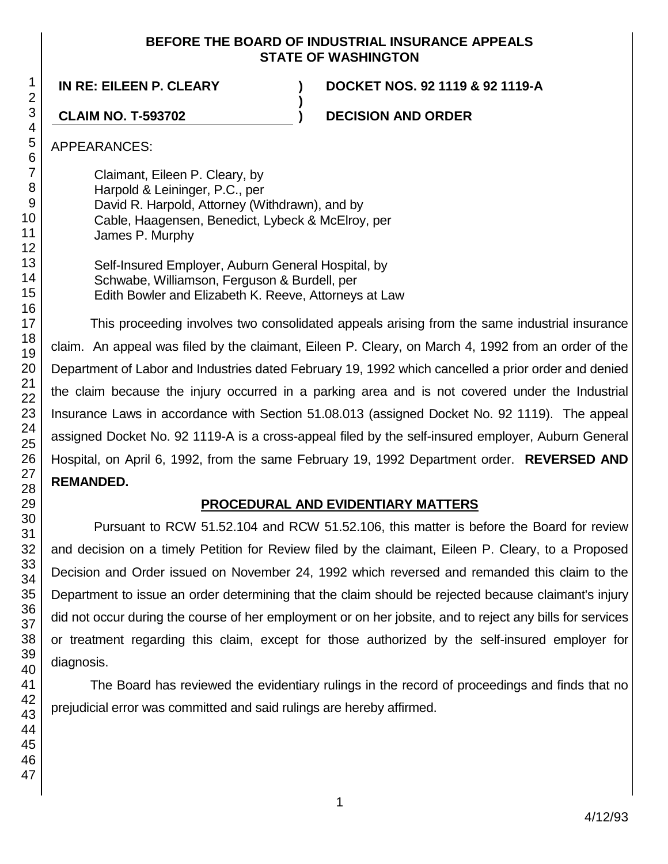## **BEFORE THE BOARD OF INDUSTRIAL INSURANCE APPEALS STATE OF WASHINGTON**

**)**

**IN RE: EILEEN P. CLEARY ) DOCKET NOS. 92 1119 & 92 1119-A**

**CLAIM NO. T-593702 ) DECISION AND ORDER**

APPEARANCES:

Claimant, Eileen P. Cleary, by Harpold & Leininger, P.C., per David R. Harpold, Attorney (Withdrawn), and by Cable, Haagensen, Benedict, Lybeck & McElroy, per James P. Murphy

Self-Insured Employer, Auburn General Hospital, by Schwabe, Williamson, Ferguson & Burdell, per Edith Bowler and Elizabeth K. Reeve, Attorneys at Law

This proceeding involves two consolidated appeals arising from the same industrial insurance claim. An appeal was filed by the claimant, Eileen P. Cleary, on March 4, 1992 from an order of the Department of Labor and Industries dated February 19, 1992 which cancelled a prior order and denied the claim because the injury occurred in a parking area and is not covered under the Industrial Insurance Laws in accordance with Section 51.08.013 (assigned Docket No. 92 1119). The appeal assigned Docket No. 92 1119-A is a cross-appeal filed by the self-insured employer, Auburn General Hospital, on April 6, 1992, from the same February 19, 1992 Department order. **REVERSED AND REMANDED.**

# **PROCEDURAL AND EVIDENTIARY MATTERS**

Pursuant to RCW 51.52.104 and RCW 51.52.106, this matter is before the Board for review and decision on a timely Petition for Review filed by the claimant, Eileen P. Cleary, to a Proposed Decision and Order issued on November 24, 1992 which reversed and remanded this claim to the Department to issue an order determining that the claim should be rejected because claimant's injury did not occur during the course of her employment or on her jobsite, and to reject any bills for services or treatment regarding this claim, except for those authorized by the self-insured employer for diagnosis.

The Board has reviewed the evidentiary rulings in the record of proceedings and finds that no prejudicial error was committed and said rulings are hereby affirmed.

1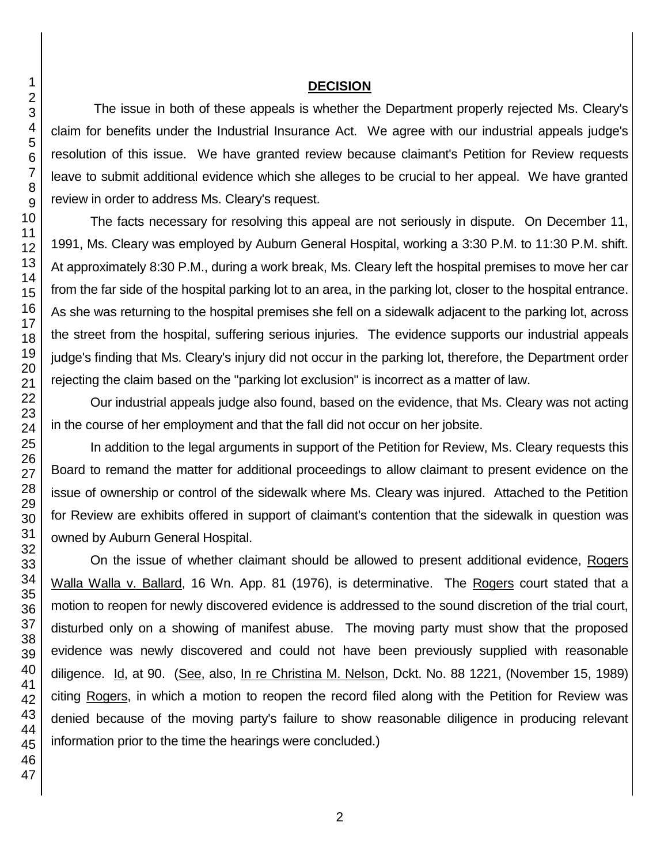## **DECISION**

The issue in both of these appeals is whether the Department properly rejected Ms. Cleary's claim for benefits under the Industrial Insurance Act. We agree with our industrial appeals judge's resolution of this issue. We have granted review because claimant's Petition for Review requests leave to submit additional evidence which she alleges to be crucial to her appeal. We have granted review in order to address Ms. Cleary's request.

The facts necessary for resolving this appeal are not seriously in dispute. On December 11, 1991, Ms. Cleary was employed by Auburn General Hospital, working a 3:30 P.M. to 11:30 P.M. shift. At approximately 8:30 P.M., during a work break, Ms. Cleary left the hospital premises to move her car from the far side of the hospital parking lot to an area, in the parking lot, closer to the hospital entrance. As she was returning to the hospital premises she fell on a sidewalk adjacent to the parking lot, across the street from the hospital, suffering serious injuries. The evidence supports our industrial appeals judge's finding that Ms. Cleary's injury did not occur in the parking lot, therefore, the Department order rejecting the claim based on the "parking lot exclusion" is incorrect as a matter of law.

Our industrial appeals judge also found, based on the evidence, that Ms. Cleary was not acting in the course of her employment and that the fall did not occur on her jobsite.

In addition to the legal arguments in support of the Petition for Review, Ms. Cleary requests this Board to remand the matter for additional proceedings to allow claimant to present evidence on the issue of ownership or control of the sidewalk where Ms. Cleary was injured. Attached to the Petition for Review are exhibits offered in support of claimant's contention that the sidewalk in question was owned by Auburn General Hospital.

On the issue of whether claimant should be allowed to present additional evidence, Rogers Walla Walla v. Ballard, 16 Wn. App. 81 (1976), is determinative. The Rogers court stated that a motion to reopen for newly discovered evidence is addressed to the sound discretion of the trial court, disturbed only on a showing of manifest abuse. The moving party must show that the proposed evidence was newly discovered and could not have been previously supplied with reasonable diligence. Id, at 90. (See, also, In re Christina M. Nelson, Dckt. No. 88 1221, (November 15, 1989) citing Rogers, in which a motion to reopen the record filed along with the Petition for Review was denied because of the moving party's failure to show reasonable diligence in producing relevant information prior to the time the hearings were concluded.)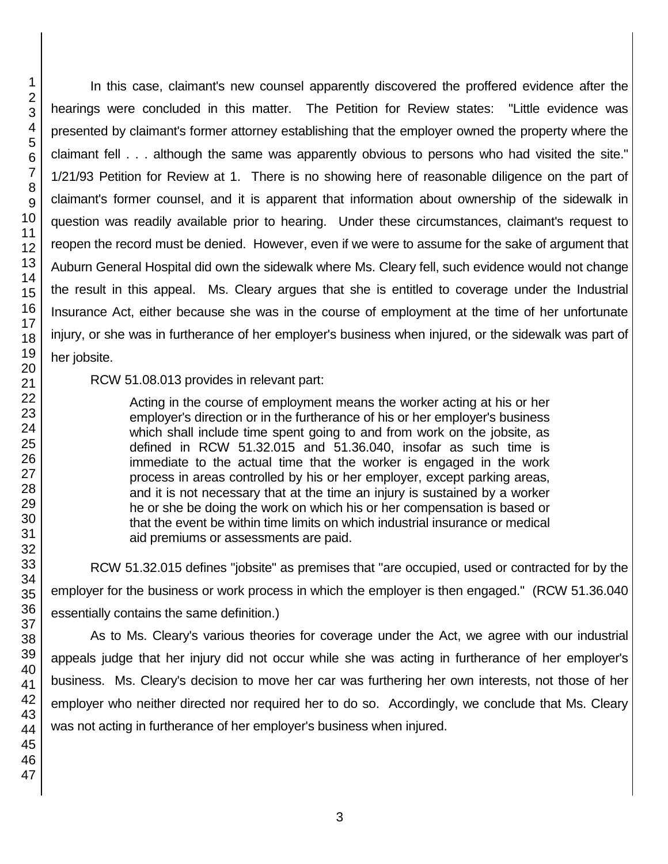In this case, claimant's new counsel apparently discovered the proffered evidence after the hearings were concluded in this matter. The Petition for Review states: "Little evidence was presented by claimant's former attorney establishing that the employer owned the property where the claimant fell . . . although the same was apparently obvious to persons who had visited the site." 1/21/93 Petition for Review at 1. There is no showing here of reasonable diligence on the part of claimant's former counsel, and it is apparent that information about ownership of the sidewalk in question was readily available prior to hearing. Under these circumstances, claimant's request to reopen the record must be denied. However, even if we were to assume for the sake of argument that Auburn General Hospital did own the sidewalk where Ms. Cleary fell, such evidence would not change the result in this appeal. Ms. Cleary argues that she is entitled to coverage under the Industrial Insurance Act, either because she was in the course of employment at the time of her unfortunate injury, or she was in furtherance of her employer's business when injured, or the sidewalk was part of her jobsite.

RCW 51.08.013 provides in relevant part:

Acting in the course of employment means the worker acting at his or her employer's direction or in the furtherance of his or her employer's business which shall include time spent going to and from work on the jobsite, as defined in RCW 51.32.015 and 51.36.040, insofar as such time is immediate to the actual time that the worker is engaged in the work process in areas controlled by his or her employer, except parking areas, and it is not necessary that at the time an injury is sustained by a worker he or she be doing the work on which his or her compensation is based or that the event be within time limits on which industrial insurance or medical aid premiums or assessments are paid.

RCW 51.32.015 defines "jobsite" as premises that "are occupied, used or contracted for by the employer for the business or work process in which the employer is then engaged." (RCW 51.36.040 essentially contains the same definition.)

As to Ms. Cleary's various theories for coverage under the Act, we agree with our industrial appeals judge that her injury did not occur while she was acting in furtherance of her employer's business. Ms. Cleary's decision to move her car was furthering her own interests, not those of her employer who neither directed nor required her to do so. Accordingly, we conclude that Ms. Cleary was not acting in furtherance of her employer's business when injured.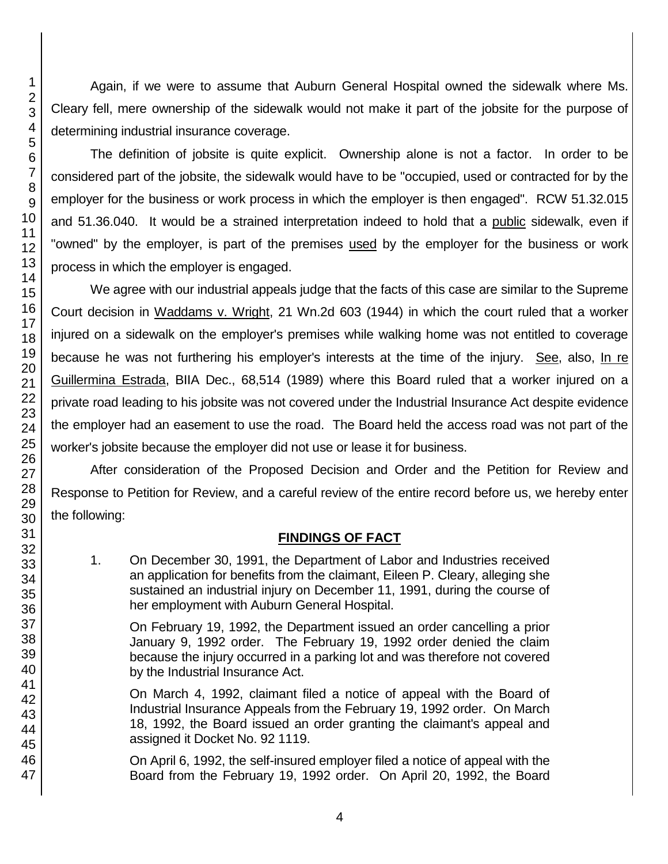Again, if we were to assume that Auburn General Hospital owned the sidewalk where Ms. Cleary fell, mere ownership of the sidewalk would not make it part of the jobsite for the purpose of determining industrial insurance coverage.

The definition of jobsite is quite explicit. Ownership alone is not a factor. In order to be considered part of the jobsite, the sidewalk would have to be "occupied, used or contracted for by the employer for the business or work process in which the employer is then engaged". RCW 51.32.015 and 51.36.040. It would be a strained interpretation indeed to hold that a public sidewalk, even if "owned" by the employer, is part of the premises used by the employer for the business or work process in which the employer is engaged.

We agree with our industrial appeals judge that the facts of this case are similar to the Supreme Court decision in Waddams v. Wright, 21 Wn.2d 603 (1944) in which the court ruled that a worker injured on a sidewalk on the employer's premises while walking home was not entitled to coverage because he was not furthering his employer's interests at the time of the injury. See, also, In re Guillermina Estrada, BIIA Dec., 68,514 (1989) where this Board ruled that a worker injured on a private road leading to his jobsite was not covered under the Industrial Insurance Act despite evidence the employer had an easement to use the road. The Board held the access road was not part of the worker's jobsite because the employer did not use or lease it for business.

After consideration of the Proposed Decision and Order and the Petition for Review and Response to Petition for Review, and a careful review of the entire record before us, we hereby enter

## **FINDINGS OF FACT**

1. On December 30, 1991, the Department of Labor and Industries received an application for benefits from the claimant, Eileen P. Cleary, alleging she sustained an industrial injury on December 11, 1991, during the course of her employment with Auburn General Hospital.

On February 19, 1992, the Department issued an order cancelling a prior January 9, 1992 order. The February 19, 1992 order denied the claim because the injury occurred in a parking lot and was therefore not covered by the Industrial Insurance Act.

On March 4, 1992, claimant filed a notice of appeal with the Board of Industrial Insurance Appeals from the February 19, 1992 order. On March 18, 1992, the Board issued an order granting the claimant's appeal and assigned it Docket No. 92 1119.

On April 6, 1992, the self-insured employer filed a notice of appeal with the Board from the February 19, 1992 order. On April 20, 1992, the Board